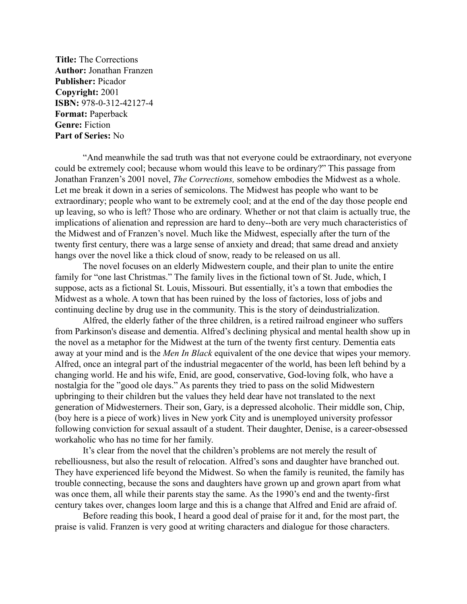**Title:** The Corrections **Author:** Jonathan Franzen **Publisher:** Picador **Copyright:** 2001 **ISBN:** 978-0-312-42127-4 **Format:** Paperback **Genre:** Fiction **Part of Series:** No

"And meanwhile the sad truth was that not everyone could be extraordinary, not everyone could be extremely cool; because whom would this leave to be ordinary?" This passage from Jonathan Franzen's 2001 novel, *The Corrections,* somehow embodies the Midwest as a whole. Let me break it down in a series of semicolons. The Midwest has people who want to be extraordinary; people who want to be extremely cool; and at the end of the day those people end up leaving, so who is left? Those who are ordinary. Whether or not that claim is actually true, the implications of alienation and repression are hard to deny--both are very much characteristics of the Midwest and of Franzen's novel. Much like the Midwest, especially after the turn of the twenty first century, there was a large sense of anxiety and dread; that same dread and anxiety hangs over the novel like a thick cloud of snow, ready to be released on us all.

The novel focuses on an elderly Midwestern couple, and their plan to unite the entire family for "one last Christmas." The family lives in the fictional town of St. Jude, which, I suppose, acts as a fictional St. Louis, Missouri. But essentially, it's a town that embodies the Midwest as a whole. A town that has been ruined by the loss of factories, loss of jobs and continuing decline by drug use in the community. This is the story of deindustrialization.

Alfred, the elderly father of the three children, is a retired railroad engineer who suffers from Parkinson's disease and dementia. Alfred's declining physical and mental health show up in the novel as a metaphor for the Midwest at the turn of the twenty first century. Dementia eats away at your mind and is the *Men In Black* equivalent of the one device that wipes your memory. Alfred, once an integral part of the industrial megacenter of the world, has been left behind by a changing world. He and his wife, Enid, are good, conservative, God-loving folk, who have a nostalgia for the "good ole days." As parents they tried to pass on the solid Midwestern upbringing to their children but the values they held dear have not translated to the next generation of Midwesterners. Their son, Gary, is a depressed alcoholic. Their middle son, Chip, (boy here is a piece of work) lives in New york City and is unemployed university professor following conviction for sexual assault of a student. Their daughter, Denise, is a career-obsessed workaholic who has no time for her family.

It's clear from the novel that the children's problems are not merely the result of rebelliousness, but also the result of relocation. Alfred's sons and daughter have branched out. They have experienced life beyond the Midwest. So when the family is reunited, the family has trouble connecting, because the sons and daughters have grown up and grown apart from what was once them, all while their parents stay the same. As the 1990's end and the twenty-first century takes over, changes loom large and this is a change that Alfred and Enid are afraid of.

Before reading this book, I heard a good deal of praise for it and, for the most part, the praise is valid. Franzen is very good at writing characters and dialogue for those characters.